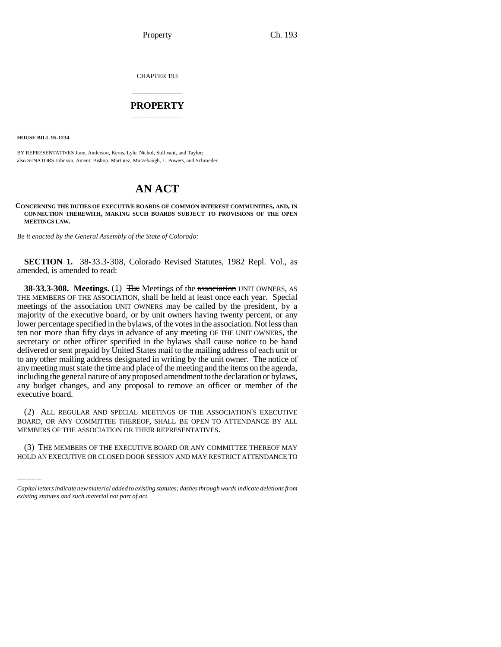Property Ch. 193

CHAPTER 193

## \_\_\_\_\_\_\_\_\_\_\_\_\_\_\_ **PROPERTY** \_\_\_\_\_\_\_\_\_\_\_\_\_\_\_

**HOUSE BILL 95-1234**

BY REPRESENTATIVES June, Anderson, Kerns, Lyle, Nichol, Sullivant, and Taylor; also SENATORS Johnson, Ament, Bishop, Martinez, Mutzebaugh, L. Powers, and Schroeder.

## **AN ACT**

**CONCERNING THE DUTIES OF EXECUTIVE BOARDS OF COMMON INTEREST COMMUNITIES, AND, IN CONNECTION THEREWITH, MAKING SUCH BOARDS SUBJECT TO PROVISIONS OF THE OPEN MEETINGS LAW.**

*Be it enacted by the General Assembly of the State of Colorado:*

**SECTION 1.** 38-33.3-308, Colorado Revised Statutes, 1982 Repl. Vol., as amended, is amended to read:

**38-33.3-308. Meetings.** (1) The Meetings of the association UNIT OWNERS, AS THE MEMBERS OF THE ASSOCIATION, shall be held at least once each year. Special meetings of the association UNIT OWNERS may be called by the president, by a majority of the executive board, or by unit owners having twenty percent, or any lower percentage specified in the bylaws, of the votes in the association. Not less than ten nor more than fifty days in advance of any meeting OF THE UNIT OWNERS, the secretary or other officer specified in the bylaws shall cause notice to be hand delivered or sent prepaid by United States mail to the mailing address of each unit or to any other mailing address designated in writing by the unit owner. The notice of any meeting must state the time and place of the meeting and the items on the agenda, including the general nature of any proposed amendment to the declaration or bylaws, any budget changes, and any proposal to remove an officer or member of the executive board.

BOARD, OR ANY COMMITTEE THEREOF, SHALL BE OPEN TO ATTENDANCE BY ALL (2) ALL REGULAR AND SPECIAL MEETINGS OF THE ASSOCIATION'S EXECUTIVE MEMBERS OF THE ASSOCIATION OR THEIR REPRESENTATIVES.

(3) THE MEMBERS OF THE EXECUTIVE BOARD OR ANY COMMITTEE THEREOF MAY HOLD AN EXECUTIVE OR CLOSED DOOR SESSION AND MAY RESTRICT ATTENDANCE TO

*Capital letters indicate new material added to existing statutes; dashes through words indicate deletions from existing statutes and such material not part of act.*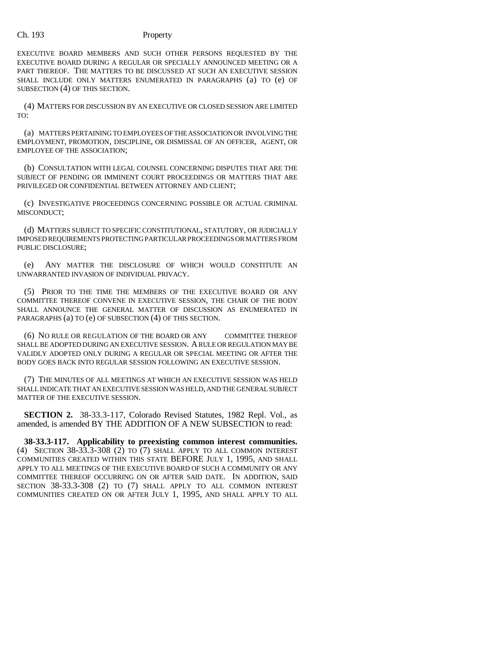## Ch. 193 Property

EXECUTIVE BOARD MEMBERS AND SUCH OTHER PERSONS REQUESTED BY THE EXECUTIVE BOARD DURING A REGULAR OR SPECIALLY ANNOUNCED MEETING OR A PART THEREOF. THE MATTERS TO BE DISCUSSED AT SUCH AN EXECUTIVE SESSION SHALL INCLUDE ONLY MATTERS ENUMERATED IN PARAGRAPHS (a) TO (e) OF SUBSECTION (4) OF THIS SECTION.

(4) MATTERS FOR DISCUSSION BY AN EXECUTIVE OR CLOSED SESSION ARE LIMITED TO:

(a) MATTERS PERTAINING TO EMPLOYEES OF THE ASSOCIATION OR INVOLVING THE EMPLOYMENT, PROMOTION, DISCIPLINE, OR DISMISSAL OF AN OFFICER, AGENT, OR EMPLOYEE OF THE ASSOCIATION;

(b) CONSULTATION WITH LEGAL COUNSEL CONCERNING DISPUTES THAT ARE THE SUBJECT OF PENDING OR IMMINENT COURT PROCEEDINGS OR MATTERS THAT ARE PRIVILEGED OR CONFIDENTIAL BETWEEN ATTORNEY AND CLIENT;

(c) INVESTIGATIVE PROCEEDINGS CONCERNING POSSIBLE OR ACTUAL CRIMINAL MISCONDUCT;

(d) MATTERS SUBJECT TO SPECIFIC CONSTITUTIONAL, STATUTORY, OR JUDICIALLY IMPOSED REQUIREMENTS PROTECTING PARTICULAR PROCEEDINGS OR MATTERS FROM PUBLIC DISCLOSURE;

(e) ANY MATTER THE DISCLOSURE OF WHICH WOULD CONSTITUTE AN UNWARRANTED INVASION OF INDIVIDUAL PRIVACY.

(5) PRIOR TO THE TIME THE MEMBERS OF THE EXECUTIVE BOARD OR ANY COMMITTEE THEREOF CONVENE IN EXECUTIVE SESSION, THE CHAIR OF THE BODY SHALL ANNOUNCE THE GENERAL MATTER OF DISCUSSION AS ENUMERATED IN PARAGRAPHS (a) TO (e) OF SUBSECTION (4) OF THIS SECTION.

(6) NO RULE OR REGULATION OF THE BOARD OR ANY COMMITTEE THEREOF SHALL BE ADOPTED DURING AN EXECUTIVE SESSION. A RULE OR REGULATION MAY BE VALIDLY ADOPTED ONLY DURING A REGULAR OR SPECIAL MEETING OR AFTER THE BODY GOES BACK INTO REGULAR SESSION FOLLOWING AN EXECUTIVE SESSION.

(7) THE MINUTES OF ALL MEETINGS AT WHICH AN EXECUTIVE SESSION WAS HELD SHALL INDICATE THAT AN EXECUTIVE SESSION WAS HELD, AND THE GENERAL SUBJECT MATTER OF THE EXECUTIVE SESSION.

**SECTION 2.** 38-33.3-117, Colorado Revised Statutes, 1982 Repl. Vol., as amended, is amended BY THE ADDITION OF A NEW SUBSECTION to read:

**38-33.3-117. Applicability to preexisting common interest communities.** (4) SECTION 38-33.3-308 (2) TO (7) SHALL APPLY TO ALL COMMON INTEREST COMMUNITIES CREATED WITHIN THIS STATE BEFORE JULY 1, 1995, AND SHALL APPLY TO ALL MEETINGS OF THE EXECUTIVE BOARD OF SUCH A COMMUNITY OR ANY COMMITTEE THEREOF OCCURRING ON OR AFTER SAID DATE. IN ADDITION, SAID SECTION 38-33.3-308 (2) TO (7) SHALL APPLY TO ALL COMMON INTEREST COMMUNITIES CREATED ON OR AFTER JULY 1, 1995, AND SHALL APPLY TO ALL